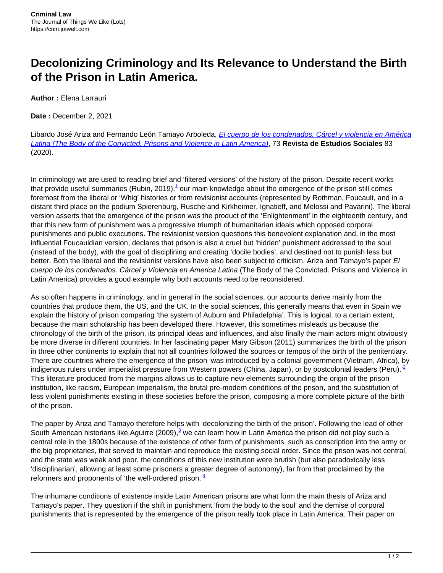## **Decolonizing Criminology and Its Relevance to Understand the Birth of the Prison in Latin America.**

**Author :** Elena Larrauri

**Date :** December 2, 2021

Libardo José Ariza and Fernando León Tamayo Arboleda, *[El cuerpo de los condenados. Cárcel y violencia en América](https://journals.openedition.org/revestudsoc/48253)* [Latina \(The Body of the Convicted. Prisons and Violence in Latin America\)](https://journals.openedition.org/revestudsoc/48253), 73 **Revista de Estudios Sociales** 83 (2020).

In criminology we are used to reading brief and 'filtered versions' of the history of the prison. Despite recent works that provide useful summaries (Rubin, 2019), $^1$  our main knowledge about the emergence of the prison still comes foremost from the liberal or 'Whig' histories or from revisionist accounts (represented by Rothman, Foucault, and in a distant third place on the podium Spierenburg, Rusche and Kirkheimer, Ignatieff, and Melossi and Pavarini). The liberal version asserts that the emergence of the prison was the product of the 'Enlightenment' in the eighteenth century, and that this new form of punishment was a progressive triumph of humanitarian ideals which opposed corporal punishments and public executions. The revisionist version questions this benevolent explanation and, in the most influential Foucauldian version, declares that prison is also a cruel but 'hidden' punishment addressed to the soul (instead of the body), with the goal of disciplining and creating 'docile bodies', and destined not to punish less but better. Both the liberal and the revisionist versions have also been subject to criticism. Ariza and Tamayo's paper El cuerpo de los condenados. Cárcel y Violencia en America Latina (The Body of the Convicted. Prisons and Violence in Latin America) provides a good example why both accounts need to be reconsidered.

As so often happens in criminology, and in general in the social sciences, our accounts derive mainly from the countries that produce them, the US, and the UK. In the social sciences, this generally means that even in Spain we explain the history of prison comparing 'the system of Auburn and Philadelphia'. This is logical, to a certain extent, because the main scholarship has been developed there. However, this sometimes misleads us because the chronology of the birth of the prison, its principal ideas and influences, and also finally the main actors might obviously be more diverse in different countries. In her fascinating paper Mary Gibson (2011) summarizes the birth of the prison in three other continents to explain that not all countries followed the sources or tempos of the birth of the penitentiary. There are countries where the emergence of the prison 'was introduced by a colonial government (Vietnam, Africa), by indigenous rulers under imperialist pressure from Western powers (China, Japan), or by postcolonial leaders (Peru).<sup>2</sup> This literature produced from the margins allows us to capture new elements surrounding the origin of the prison institution, like racism, European imperialism, the brutal pre-modern conditions of the prison, and the substitution of less violent punishments existing in these societies before the prison, composing a more complete picture of the birth of the prison.

The paper by Ariza and Tamayo therefore helps with 'decolonizing the birth of the prison'. Following the lead of other South American historians like Aguirre (2009), $^3$  we can learn how in Latin America the prison did not play such a central role in the 1800s because of the existence of other form of punishments, such as conscription into the army or the big proprietaries, that served to maintain and reproduce the existing social order. Since the prison was not central, and the state was weak and poor, the conditions of this new institution were brutish (but also paradoxically less 'disciplinarian', allowing at least some prisoners a greater degree of autonomy), far from that proclaimed by the reformers and proponents of 'the well-ordered prison.' $4$ 

The inhumane conditions of existence inside Latin American prisons are what form the main thesis of Ariza and Tamayo's paper. They question if the shift in punishment 'from the body to the soul' and the demise of corporal punishments that is represented by the emergence of the prison really took place in Latin America. Their paper on